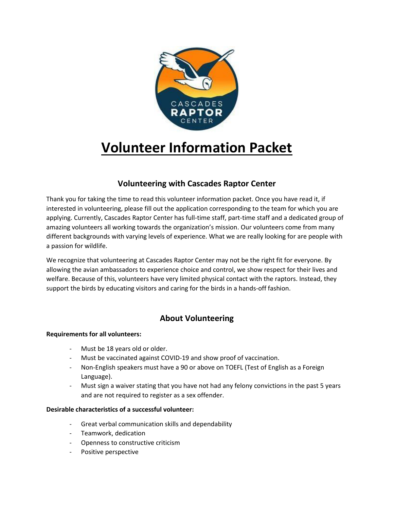

# **Volunteer Information Packet**

# **Volunteering with Cascades Raptor Center**

Thank you for taking the time to read this volunteer information packet. Once you have read it, if interested in volunteering, please fill out the application corresponding to the team for which you are applying. Currently, Cascades Raptor Center has full-time staff, part-time staff and a dedicated group of amazing volunteers all working towards the organization's mission. Our volunteers come from many different backgrounds with varying levels of experience. What we are really looking for are people with a passion for wildlife.

We recognize that volunteering at Cascades Raptor Center may not be the right fit for everyone. By allowing the avian ambassadors to experience choice and control, we show respect for their lives and welfare. Because of this, volunteers have very limited physical contact with the raptors. Instead, they support the birds by educating visitors and caring for the birds in a hands-off fashion.

# **About Volunteering**

# **Requirements for all volunteers:**

- Must be 18 years old or older.
- Must be vaccinated against COVID-19 and show proof of vaccination.
- Non-English speakers must have a 90 or above on TOEFL (Test of English as a Foreign Language).
- Must sign a waiver stating that you have not had any felony convictions in the past 5 years and are not required to register as a sex offender.

## **Desirable characteristics of a successful volunteer:**

- Great verbal communication skills and dependability
- Teamwork, dedication
- Openness to constructive criticism
- Positive perspective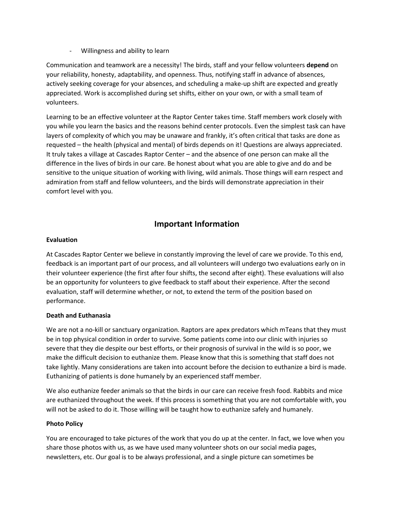- Willingness and ability to learn

Communication and teamwork are a necessity! The birds, staff and your fellow volunteers **depend** on your reliability, honesty, adaptability, and openness. Thus, notifying staff in advance of absences, actively seeking coverage for your absences, and scheduling a make-up shift are expected and greatly appreciated. Work is accomplished during set shifts, either on your own, or with a small team of volunteers.

Learning to be an effective volunteer at the Raptor Center takes time. Staff members work closely with you while you learn the basics and the reasons behind center protocols. Even the simplest task can have layers of complexity of which you may be unaware and frankly, it's often critical that tasks are done as requested – the health (physical and mental) of birds depends on it! Questions are always appreciated. It truly takes a village at Cascades Raptor Center – and the absence of one person can make all the difference in the lives of birds in our care. Be honest about what you are able to give and do and be sensitive to the unique situation of working with living, wild animals. Those things will earn respect and admiration from staff and fellow volunteers, and the birds will demonstrate appreciation in their comfort level with you.

# **Important Information**

### **Evaluation**

At Cascades Raptor Center we believe in constantly improving the level of care we provide. To this end, feedback is an important part of our process, and all volunteers will undergo two evaluations early on in their volunteer experience (the first after four shifts, the second after eight). These evaluations will also be an opportunity for volunteers to give feedback to staff about their experience. After the second evaluation, staff will determine whether, or not, to extend the term of the position based on performance.

## **Death and Euthanasia**

We are not a no-kill or sanctuary organization. Raptors are apex predators which mTeans that they must be in top physical condition in order to survive. Some patients come into our clinic with injuries so severe that they die despite our best efforts, or their prognosis of survival in the wild is so poor, we make the difficult decision to euthanize them. Please know that this is something that staff does not take lightly. Many considerations are taken into account before the decision to euthanize a bird is made. Euthanizing of patients is done humanely by an experienced staff member.

We also euthanize feeder animals so that the birds in our care can receive fresh food. Rabbits and mice are euthanized throughout the week. If this process is something that you are not comfortable with, you will not be asked to do it. Those willing will be taught how to euthanize safely and humanely.

#### **Photo Policy**

You are encouraged to take pictures of the work that you do up at the center. In fact, we love when you share those photos with us, as we have used many volunteer shots on our social media pages, newsletters, etc. Our goal is to be always professional, and a single picture can sometimes be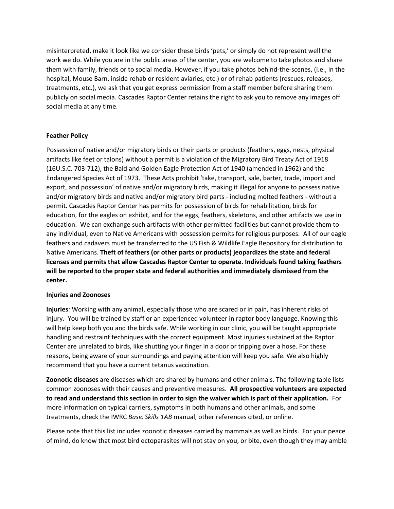misinterpreted, make it look like we consider these birds 'pets,' or simply do not represent well the work we do. While you are in the public areas of the center, you are welcome to take photos and share them with family, friends or to social media. However, if you take photos behind-the-scenes, (i.e., in the hospital, Mouse Barn, inside rehab or resident aviaries, etc.) or of rehab patients (rescues, releases, treatments, etc.), we ask that you get express permission from a staff member before sharing them publicly on social media. Cascades Raptor Center retains the right to ask you to remove any images off social media at any time.

### **Feather Policy**

Possession of native and/or migratory birds or their parts or products (feathers, eggs, nests, physical artifacts like feet or talons) without a permit is a violation of the Migratory Bird Treaty Act of 1918 (16U.S.C. 703-712), the Bald and Golden Eagle Protection Act of 1940 (amended in 1962) and the Endangered Species Act of 1973. These Acts prohibit 'take, transport, sale, barter, trade, import and export, and possession' of native and/or migratory birds, making it illegal for anyone to possess native and/or migratory birds and native and/or migratory bird parts - including molted feathers - without a permit. Cascades Raptor Center has permits for possession of birds for rehabilitation, birds for education, for the eagles on exhibit, and for the eggs, feathers, skeletons, and other artifacts we use in education. We can exchange such artifacts with other permitted facilities but cannot provide them to any individual, even to Native Americans with possession permits for religious purposes. All of our eagle feathers and cadavers must be transferred to the US Fish & Wildlife Eagle Repository for distribution to Native Americans. **Theft of feathers (or other parts or products) jeopardizes the state and federal licenses and permits that allow Cascades Raptor Center to operate. Individuals found taking feathers will be reported to the proper state and federal authorities and immediately dismissed from the center.**

#### **Injuries and Zoonoses**

**Injuries***:* Working with any animal, especially those who are scared or in pain, has inherent risks of injury. You will be trained by staff or an experienced volunteer in raptor body language. Knowing this will help keep both you and the birds safe. While working in our clinic, you will be taught appropriate handling and restraint techniques with the correct equipment. Most injuries sustained at the Raptor Center are unrelated to birds, like shutting your finger in a door or tripping over a hose. For these reasons, being aware of your surroundings and paying attention will keep you safe. We also highly recommend that you have a current tetanus vaccination.

**Zoonotic diseases** are diseases which are shared by humans and other animals. The following table lists common zoonoses with their causes and preventive measures. **All prospective volunteers are expected to read and understand this section in order to sign the waiver which is part of their application.** For more information on typical carriers, symptoms in both humans and other animals, and some treatments, check the IWRC *Basic Skills 1AB* manual, other references cited, or online.

Please note that this list includes zoonotic diseases carried by mammals as well as birds. For your peace of mind, do know that most bird ectoparasites will not stay on you, or bite, even though they may amble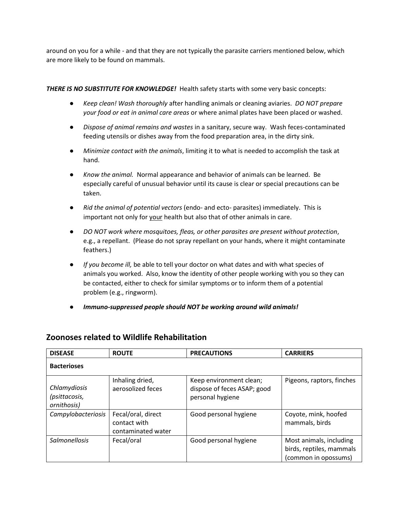around on you for a while - and that they are not typically the parasite carriers mentioned below, which are more likely to be found on mammals.

## *THERE IS NO SUBSTITUTE FOR KNOWLEDGE!* Health safety starts with some very basic concepts:

- *Keep clean! Wash thoroughly* after handling animals or cleaning aviaries. *DO NOT prepare your food or eat in animal care areas* or where animal plates have been placed or washed.
- *Dispose of animal remains and wastes* in a sanitary, secure way. Wash feces-contaminated feeding utensils or dishes away from the food preparation area, in the dirty sink.
- *Minimize contact with the animals*, limiting it to what is needed to accomplish the task at hand.
- *Know the animal.* Normal appearance and behavior of animals can be learned. Be especially careful of unusual behavior until its cause is clear or special precautions can be taken.
- *Rid the animal of potential vectors* (endo- and ecto- parasites) immediately. This is important not only for your health but also that of other animals in care.
- *DO NOT work where mosquitoes, fleas, or other parasites are present without protection*, e.g., a repellant. (Please do not spray repellant on your hands, where it might contaminate feathers.)
- *If you become ill,* be able to tell your doctor on what dates and with what species of animals you worked. Also, know the identity of other people working with you so they can be contacted, either to check for similar symptoms or to inform them of a potential problem (e.g., ringworm).
- *Immuno-suppressed people should NOT be working around wild animals!*

# **Zoonoses related to Wildlife Rehabilitation**

| <b>DISEASE</b>                               | <b>ROUTE</b>                                             | <b>PRECAUTIONS</b>                                                         | <b>CARRIERS</b>                                                             |  |  |
|----------------------------------------------|----------------------------------------------------------|----------------------------------------------------------------------------|-----------------------------------------------------------------------------|--|--|
| <b>Bacterioses</b>                           |                                                          |                                                                            |                                                                             |  |  |
| Chlamydiosis<br>(psittacosis,<br>ornithosis) | Inhaling dried,<br>aerosolized feces                     | Keep environment clean;<br>dispose of feces ASAP; good<br>personal hygiene | Pigeons, raptors, finches                                                   |  |  |
| Campylobacteriosis                           | Fecal/oral, direct<br>contact with<br>contaminated water | Good personal hygiene                                                      | Coyote, mink, hoofed<br>mammals, birds                                      |  |  |
| <b>Salmonellosis</b>                         | Fecal/oral                                               | Good personal hygiene                                                      | Most animals, including<br>birds, reptiles, mammals<br>(common in opossums) |  |  |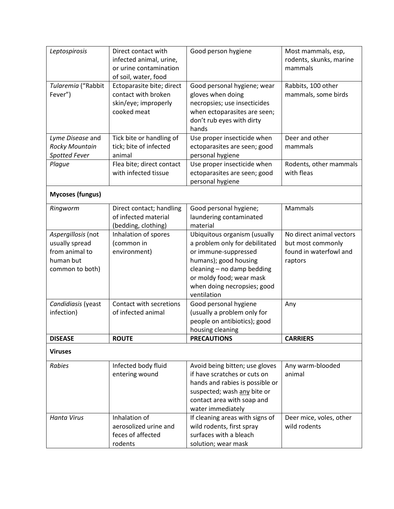| Leptospirosis                    | Direct contact with<br>infected animal, urine,<br>or urine contamination                | Good person hygiene                                                                                                                                    | Most mammals, esp,<br>rodents, skunks, marine<br>mammals |  |  |
|----------------------------------|-----------------------------------------------------------------------------------------|--------------------------------------------------------------------------------------------------------------------------------------------------------|----------------------------------------------------------|--|--|
|                                  | of soil, water, food                                                                    |                                                                                                                                                        |                                                          |  |  |
| Tularemia ("Rabbit<br>Fever")    | Ectoparasite bite; direct<br>contact with broken<br>skin/eye; improperly<br>cooked meat | Good personal hygiene; wear<br>gloves when doing<br>necropsies; use insecticides<br>when ectoparasites are seen;<br>don't rub eyes with dirty<br>hands | Rabbits, 100 other<br>mammals, some birds                |  |  |
| Lyme Disease and                 | Tick bite or handling of                                                                | Use proper insecticide when                                                                                                                            | Deer and other                                           |  |  |
| <b>Rocky Mountain</b>            | tick; bite of infected                                                                  | ectoparasites are seen; good                                                                                                                           | mammals                                                  |  |  |
| <b>Spotted Fever</b>             | animal                                                                                  | personal hygiene                                                                                                                                       |                                                          |  |  |
| Plague                           | Flea bite; direct contact<br>with infected tissue                                       | Use proper insecticide when<br>ectoparasites are seen; good<br>personal hygiene                                                                        | Rodents, other mammals<br>with fleas                     |  |  |
| <b>Mycoses (fungus)</b>          |                                                                                         |                                                                                                                                                        |                                                          |  |  |
| Ringworm                         | Direct contact; handling<br>of infected material<br>(bedding, clothing)                 | Good personal hygiene;<br>laundering contaminated<br>material                                                                                          | Mammals                                                  |  |  |
| Aspergillosis (not               | Inhalation of spores                                                                    | Ubiquitous organism (usually                                                                                                                           | No direct animal vectors                                 |  |  |
| usually spread                   | (common in                                                                              | a problem only for debilitated                                                                                                                         | but most commonly                                        |  |  |
| from animal to                   | environment)                                                                            | or immune-suppressed                                                                                                                                   | found in waterfowl and                                   |  |  |
| human but                        |                                                                                         | humans); good housing                                                                                                                                  | raptors                                                  |  |  |
| common to both)                  |                                                                                         | cleaning - no damp bedding                                                                                                                             |                                                          |  |  |
|                                  |                                                                                         | or moldy food; wear mask                                                                                                                               |                                                          |  |  |
|                                  |                                                                                         | when doing necropsies; good                                                                                                                            |                                                          |  |  |
|                                  | Contact with secretions                                                                 | ventilation                                                                                                                                            |                                                          |  |  |
| Candidiasis (yeast<br>infection) | of infected animal                                                                      | Good personal hygiene<br>(usually a problem only for                                                                                                   | Any                                                      |  |  |
|                                  |                                                                                         | people on antibiotics); good                                                                                                                           |                                                          |  |  |
|                                  |                                                                                         | housing cleaning                                                                                                                                       |                                                          |  |  |
| <b>DISEASE</b>                   | <b>ROUTE</b>                                                                            | <b>PRECAUTIONS</b>                                                                                                                                     | <b>CARRIERS</b>                                          |  |  |
| <b>Viruses</b>                   |                                                                                         |                                                                                                                                                        |                                                          |  |  |
| Rabies                           | Infected body fluid                                                                     | Avoid being bitten; use gloves                                                                                                                         | Any warm-blooded                                         |  |  |
|                                  | entering wound                                                                          | if have scratches or cuts on                                                                                                                           | animal                                                   |  |  |
|                                  |                                                                                         | hands and rabies is possible or                                                                                                                        |                                                          |  |  |
|                                  |                                                                                         | suspected; wash any bite or                                                                                                                            |                                                          |  |  |
|                                  |                                                                                         | contact area with soap and                                                                                                                             |                                                          |  |  |
|                                  |                                                                                         | water immediately                                                                                                                                      |                                                          |  |  |
| <b>Hanta Virus</b>               | Inhalation of                                                                           | If cleaning areas with signs of                                                                                                                        | Deer mice, voles, other                                  |  |  |
|                                  | aerosolized urine and                                                                   | wild rodents, first spray                                                                                                                              | wild rodents                                             |  |  |
|                                  | feces of affected                                                                       | surfaces with a bleach                                                                                                                                 |                                                          |  |  |
|                                  | rodents                                                                                 | solution; wear mask                                                                                                                                    |                                                          |  |  |